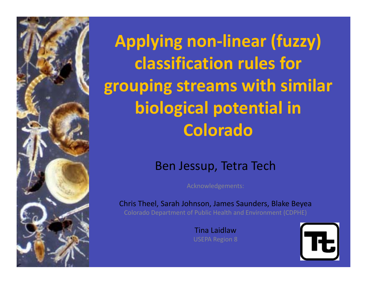

**Applying non‐linear (fuzzy) classification rules for grouping streams with similar biological potential in Colorado**

### Ben Jessup, Tetra Tech

Acknowledgements:

Chris Theel, Sarah Johnson, James Saunders, Blake Beyea Colorado Department of Public Health and Environment (CDPHE)

> Tina LaidlawUSEPA Region 8

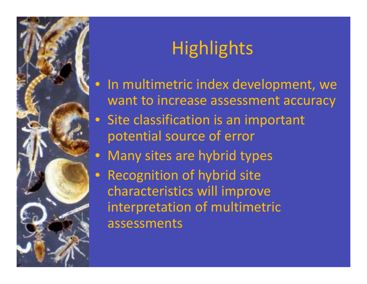

# **Highlights**

- In multimetric index development, we want to increase assessment accuracy
- Site classification is an important potential source of error
- $\bullet$ Many sites are hybrid types
- Recognition of hybrid site characteristics will improve interpretation of multimetric assessments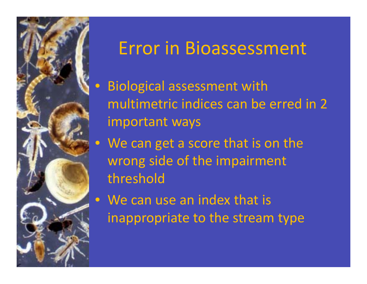

## Error in Bioassessment

- $\textcolor{red}{\bullet}$  Biological assessment with multimetric indices can be erred in 2 important ways
- We can get <sup>a</sup> score that is on the wrong side of the impairment threshold
- We can use an index that is inappropriate to the stream type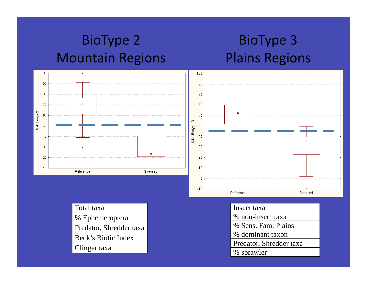### BioType 2 Mountain Regions

### BioType 3 Plains Regions



| Total taxa              |
|-------------------------|
| % Ephemeroptera         |
| Predator, Shredder taxa |
| Beck's Biotic Index     |
| Clinger taxa            |

|  | Insect taxa                                 |  |  |  |  |
|--|---------------------------------------------|--|--|--|--|
|  | % non-insect taxa                           |  |  |  |  |
|  |                                             |  |  |  |  |
|  | % Sens. Fam. Plains                         |  |  |  |  |
|  | % dominant taxon<br>Predator, Shredder taxa |  |  |  |  |
|  |                                             |  |  |  |  |
|  | % sprawler                                  |  |  |  |  |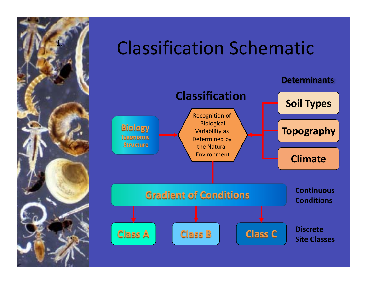

# **Classification Schematic**

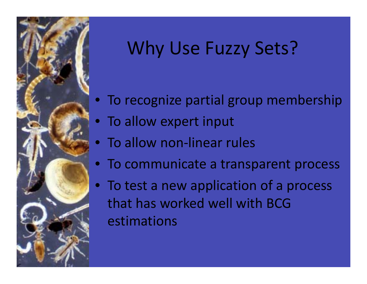

# Why Use Fuzzy Sets?

- To recognize partial group membership
- To allow expert input
- To allow non-linear rules
- To communicate <sup>a</sup> transparent process
- $\bullet$ • To test a new application of a process that has worked well with BCGestimations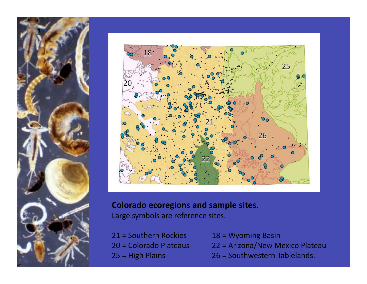



#### **Colorado ecoregions and sample sites**.

Large symbols are reference sites.

- 21 <sup>=</sup> Southern20 <sup>=</sup> Colorado25 = High Plains
- $18$  = Wyoming Basin
- **Plateau 22 = Arizona/New Mexico Plateau** 
	- $26$  = Southwestern Tablelands.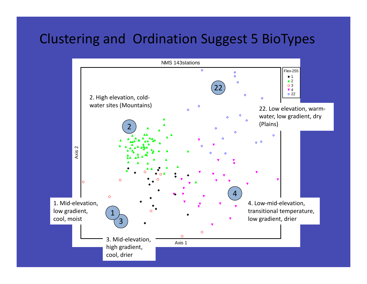### Clustering and Ordination Suggest 5 BioTypes

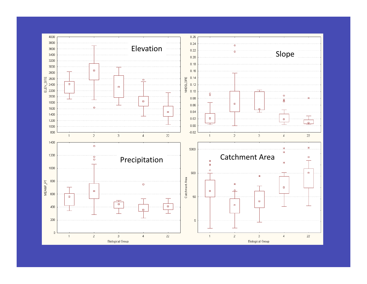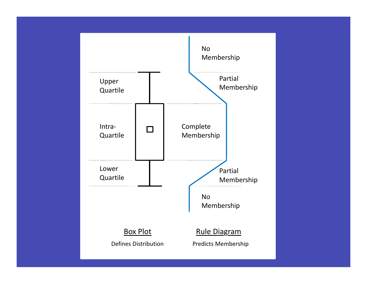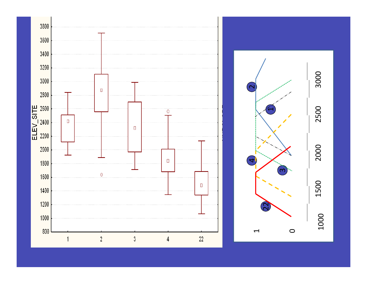

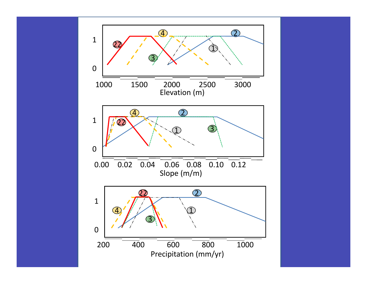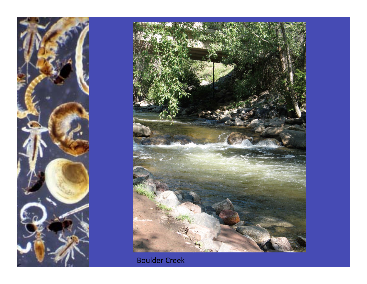



Boulder Creek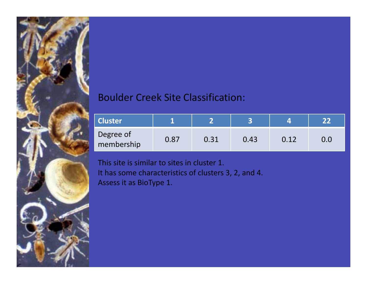#### Boulder Creek Site Classification:

| <b>Cluster</b>          |      |      |      |      |  |
|-------------------------|------|------|------|------|--|
| Degree of<br>membership | 0.87 | 0.31 | 0.43 | 0.12 |  |

This site is similar to sites in cluster 1. It has some characteristics of clusters 3, 2, and 4. Assess it as BioType 1.

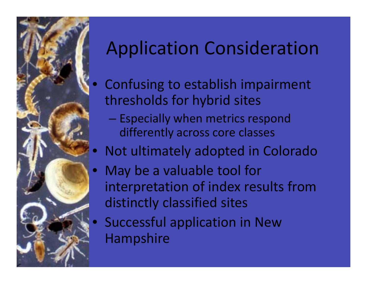

# Application Consideration

- Confusing to establish impairment thresholds for hybrid sites
	- Especially when metrics respond differently across core classes
- Not ultimately adopted in Colorado
- May be a valuable tool for interpretation of index results from distinctly classified sites
- Successful application in New Hampshire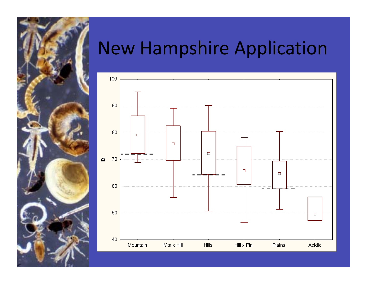

## New Hampshire Application

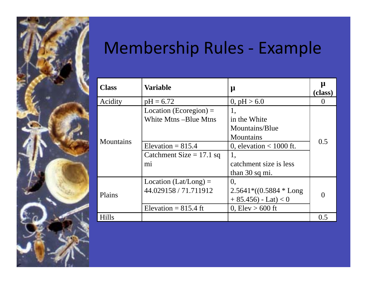

## Membership Rules ‐ Example

| <b>Class</b>                                                                                                                      | <b>Variable</b>                                                                                                                                            | μ                                                                                                                                | μ<br>(class) |
|-----------------------------------------------------------------------------------------------------------------------------------|------------------------------------------------------------------------------------------------------------------------------------------------------------|----------------------------------------------------------------------------------------------------------------------------------|--------------|
| Acidity                                                                                                                           | $pH = 6.72$                                                                                                                                                | 0, $pH > 6.0$                                                                                                                    | $\Omega$     |
| Location (Ecoregion) $=$<br>White Mtns – Blue Mtns<br><b>Mountains</b><br>Elevation = $815.4$<br>Catchment Size $= 17.1$ sq<br>mi |                                                                                                                                                            | 1,<br>in the White<br>Mountains/Blue<br>Mountains<br>0, elevation $< 1000$ ft.<br>1,<br>catchment size is less<br>than 30 sq mi. | 0.5          |
| Plains                                                                                                                            | Location (Lat/Long) $=$<br>0,<br>44.029158 / 71.711912<br>$2.5641*(0.5884 * Long)$<br>$+85.456$ - Lat) < 0<br>Elevation = $815.4$ ft<br>0, Elev $> 600$ ft |                                                                                                                                  | $\Omega$     |
| <b>Hills</b>                                                                                                                      |                                                                                                                                                            |                                                                                                                                  | 0.5          |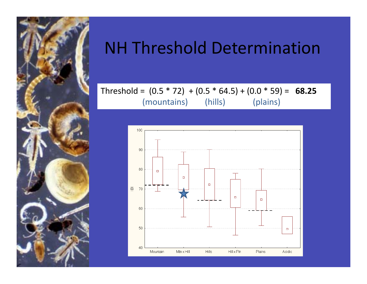

## NH Threshold Determination

#### Threshold <sup>=</sup> (0.5 \* 72) <sup>+</sup> (0.5 \* 64.5) <sup>+</sup> (0.0 \* 59) <sup>=</sup> **68.25** (mountains) (hills) (plains)